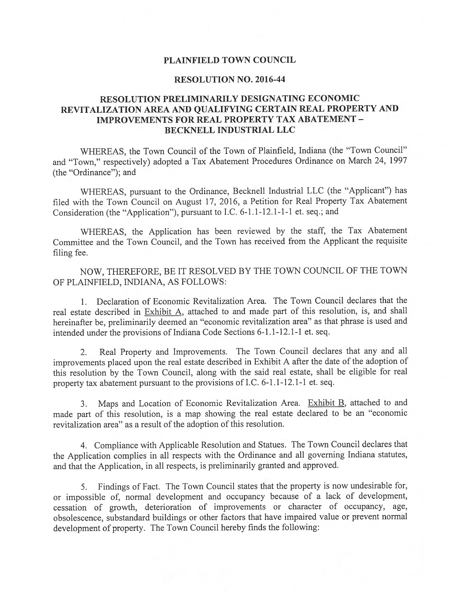### PLAINFIELD TOWN COUNCIL

## RESOLUTION NO. 2016-44

## RESOLUTION PRELIMINARILY DESIGNATING ECONOMIC REVITALIZATION AREA AND QUALIFYING CERTAIN REAL PROPERTY AND IMPROVEMENTS FOR REAL PROPERTY TAX ABATEMENT - BECKNELL INDUSTRIAL LLC

WHEREAS, the Town Council of the Town of Plainfield, Indiana (the "Town Council" and "Town," respectively) adopted <sup>a</sup> Tax Abatement Procedures Ordinance on March 24, <sup>1997</sup> (the "Ordinance"); and

WHEREAS, pursuan<sup>t</sup> to the Ordinance, Becknell Industrial LLC (the "Applicant") has filed with the Town Council on August 17, 2016, <sup>a</sup> Petition for Real Property Tax Abatement Consideration (the "Application"), pursuan<sup>t</sup> to I.C. 6-1.1-12.1-1-1 et. seq.; and

WHEREAS, the Application has been reviewed by the staff, the Tax Abatement Committee and the Town Council, and the Town has received from the Applicant the requisite filing fee.

NOW, THEREFORE, BE IT RESOLVED BY THE TOWN COUNCIL OF THE TOWN OF PLAINFIELD, INDIANA, AS FOLLOWS:

1. Declaration of Economic Revitalization Area. The Town Council declares that the real estate described in Exhibit A, attached to and made par<sup>t</sup> of this resolution, is, and shall hereinafter be, preliminarily deemed an "economic revitalization area" as that <sup>p</sup>hrase is used and intended under the provisions of Indiana Code Sections 6-1.1-12.1-1 et. seq.

2. Real Property and Improvements. The Town Council declares that any and all improvements <sup>p</sup>laced upon the real estate described in Exhibit <sup>A</sup> after the date of the adoption of this resolution by the Town Council, along with the said real estate, shall be eligible for real property tax abatement pursuan<sup>t</sup> to the provisions of I.C. 6-1.1-12.1-1 et. seq.

3. Maps and Location of Economic Revitalization Area. Exhibit B, attached to and made par<sup>t</sup> of this resolution, is <sup>a</sup> map showing the real estate declared to be an "economic revitalization area" as <sup>a</sup> result of the adoption of this resolution.

4. Compliance with Applicable Resolution and Statues. The Town Council declares that the Application complies in all respects with the Ordinance and all governing Indiana statutes, and that the Application, in all respects, is preliminarily granted and approved.

5. Findings of Fact. The Town Council states that the property is now undesirable for, or impossible of, normal development and occupancy because of <sup>a</sup> lack of development, cessation of growth, deterioration of improvements or character of occupancy, age, obsolescence, substandard buildings or other factors that have impaired value or preven<sup>t</sup> normal development of property. The Town Council hereby finds the following: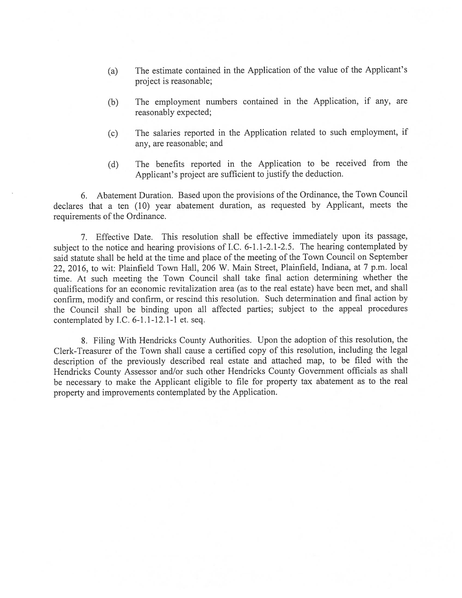- (a) The estimate contained in the Application of the value of the Applicant's project is reasonable;
- (b) The employment numbers contained in the Application, if any, are reasonably expected;
- (c) The salaries reported in the Application related to such employment, if any, are reasonable; and
- (d) The benefits reported in the Application to be received from the Applicant's project are sufficient to justify the deduction.

6. Abatement Duration. Based upon the provisions of the Ordinance, the Town Council declares that <sup>a</sup> ten (10) year abatement duration, as requested by Applicant, meets the requirements of the Ordinance.

7. Effective Date. This resolution shall be effective immediately upon its passage, subject to the notice and hearing provisions of I.C. 6-1.1-2.1-2.5. The hearing contemplated by said statute shall be held at the time and <sup>p</sup>lace of the meeting of the Town Council on September 22, 2016, to wit: Plainfield Town Hall, <sup>206</sup> W. Main Street, Plainfield, Indiana, at <sup>7</sup> p.m. local time. At such meeting the Town Council shall take final action determining whether the qualifications for an economic revitalization area (as to the real estate) have been met, and shall confirm, modify and confirm, or rescind this resolution. Such determination and final action by the Council shall be binding upon all affected parties; subject to the appea<sup>l</sup> procedures contemplated by I.C. 6-1.1-12.1-1 et. seq.

8. Filing With Hendricks County Authorities. Upon the adoption of this resolution, the Clerk-Treasurer of the Town shall cause <sup>a</sup> certified copy of this resolution, including the legal description of the previously described real estate and attached map, to be filed with the Hendricks County Assessor and/or such other Hendricks County Government officials as shall be necessary to make the Applicant eligible to file for property tax abatement as to the real property and improvements contemplated by the Application.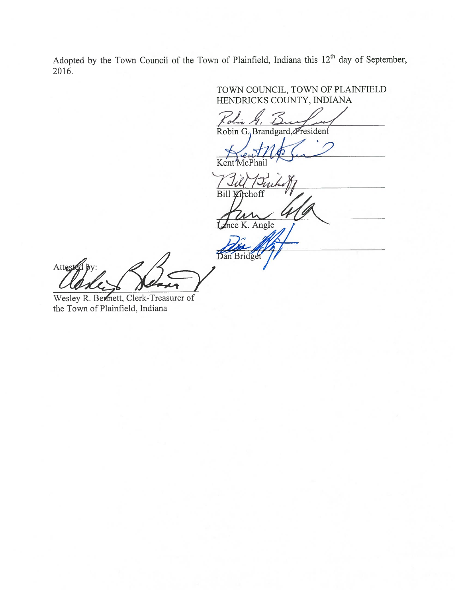Adopted by the Town Council of the Town of Plainfield, Indiana this 12<sup>th</sup> day of September, 2016.

TOWN COUNCIL, TOWN OF PLATNFIELD HENDRICKS COUNTY, INDIANA

Robin G. Brandgard, Fresident

Kent

Bill Kirchoff Ance K. Angle

Dan Bridge Attested

Wesley R. Bernett, Clerk-Treasurer of the Town of Plainfield, Indiana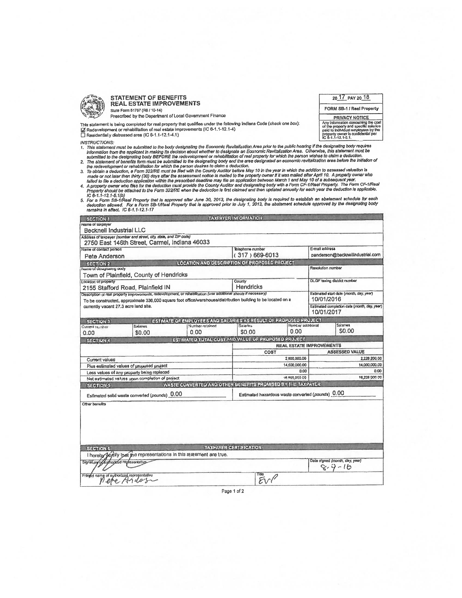

#### **STATEMENT OF BENEFITS REAL ESTATE IMPROVEMENTS** State Form 61767 (R8 / 10-14)

Prescribed by the Department of Local Government Finance

This statement is being completed for real property that qualifies under the following Indiana Code (check one box):<br>|<mark>⊿</mark> Redevelopment or rehabilitation of real estate improvements (IC 6-1.1-12.1-4)<br>|

**INSTRUCTIONS:** 

- INSTRUCTIONS:<br>
1. This sistement must be submitted to the body designating the Economic Revitalization Area prior to the public hearing if he the signals.<br>
This sistement must be submitted to the applicant in making its de
- 
- 
- 
- 

| <b>SECTION 1</b>                                   |                                                                                                                  |                                                                                     | <b>TAXPAYER INFORMATION</b>                           |                                                |                                                            |               |
|----------------------------------------------------|------------------------------------------------------------------------------------------------------------------|-------------------------------------------------------------------------------------|-------------------------------------------------------|------------------------------------------------|------------------------------------------------------------|---------------|
| Name of taxpayer<br><b>Becknell Industrial LLC</b> |                                                                                                                  |                                                                                     |                                                       |                                                |                                                            |               |
|                                                    | Address of taxpayer (number and street, city, state, and ZIP code)                                               |                                                                                     |                                                       |                                                |                                                            |               |
|                                                    | 2750 East 146th Street, Carmel, Indiana 46033                                                                    |                                                                                     |                                                       |                                                |                                                            |               |
| Name of contact person                             |                                                                                                                  | Taisphone number                                                                    |                                                       | E-mail address                                 |                                                            |               |
| Pete Anderson                                      |                                                                                                                  |                                                                                     | $(317)669-6013$                                       |                                                | panderson@becknellindustrial.com                           |               |
| SECTION 2                                          |                                                                                                                  |                                                                                     | LOCATION AND DESCRIPTION OF PROPOSED PROJECT          |                                                |                                                            |               |
| <b>Гонно о</b> беждиница вобу                      |                                                                                                                  |                                                                                     |                                                       |                                                | Resolution number                                          |               |
|                                                    | Town of Plainfield, County of Hendricks                                                                          |                                                                                     |                                                       |                                                |                                                            |               |
| Location of property                               |                                                                                                                  |                                                                                     | County                                                |                                                | <b>DLGF</b> taxing district number                         |               |
|                                                    | 2155 Stafford Road, Plainfield IN                                                                                |                                                                                     | Hendricks                                             |                                                |                                                            |               |
|                                                    | Description of real property improvements, redevelopment, or rehabilitation (use additional sheets if necessary) |                                                                                     | Estimated start date (month, day, year)<br>10/01/2016 |                                                |                                                            |               |
|                                                    | To be constructed, approximate 336,000 square foot office/warehouse/distribution building to be located on a     |                                                                                     |                                                       |                                                |                                                            |               |
| currently vacant 27.3 acre land site.              |                                                                                                                  |                                                                                     |                                                       |                                                | Estimated completion date (month, day, year)<br>10/01/2017 |               |
|                                                    |                                                                                                                  |                                                                                     |                                                       |                                                |                                                            |               |
| <b>SECTION 3</b>                                   | <b>Salaries</b>                                                                                                  | ESTIMATE OF EMPLOYEES AND SALARIES AS RESULT OF PROPOSED PROJECT<br>Mamber retained | Salados                                               | <b>Humtar additional</b>                       |                                                            | Saturnes      |
| Correra mariber<br>0.00                            | \$0.00                                                                                                           | 0.00                                                                                | \$0.00                                                | 0.00                                           |                                                            | \$0.00        |
| <b>SECTION 4</b>                                   |                                                                                                                  | ESTIMATED TOTAL GOST AND VALUE OF PROPOSED PROJECT                                  |                                                       |                                                |                                                            |               |
|                                                    |                                                                                                                  |                                                                                     |                                                       | REAL ESTATE IMPROVEMENTS                       |                                                            |               |
|                                                    |                                                                                                                  |                                                                                     |                                                       | COST                                           | <b>ASSESSED VALUE</b>                                      |               |
| Current values                                     |                                                                                                                  |                                                                                     |                                                       | 2,600,000.00                                   | 2,228.200.00                                               |               |
| Plus estimated values of proposed project          |                                                                                                                  |                                                                                     | 14,000,000.00                                         |                                                | 14,000,000.00                                              |               |
| Less values of any property being replaced         |                                                                                                                  |                                                                                     |                                                       | 0.00                                           | 0.00                                                       |               |
| Net estimated values upon completion of project    |                                                                                                                  |                                                                                     | 18 800,000.00                                         |                                                |                                                            | 16,229,999.00 |
| SECTION:5                                          |                                                                                                                  | WASTE CONVERTED AND OTHER BENEFITS PROMISED BY THE TAXPAYER                         |                                                       |                                                |                                                            |               |
|                                                    |                                                                                                                  | Estimated hazardous waste converted (pounds) 0.00                                   |                                                       |                                                |                                                            |               |
|                                                    | Estimated solid waste converted (pounds) 0.00                                                                    |                                                                                     |                                                       |                                                |                                                            |               |
| Other benefits<br><b>SECTION'6</b>                 |                                                                                                                  |                                                                                     | <b>TAXPAYER CERTIFICATION</b>                         |                                                |                                                            |               |
|                                                    | I hereby devily that the representations in this statement are true.                                             |                                                                                     |                                                       |                                                |                                                            |               |
| Signature of Audiopized representative             |                                                                                                                  |                                                                                     |                                                       | Dale signed (month, day, year)<br>$8 - 9 - 16$ |                                                            |               |
| Printed name of authorized repropertuitive         |                                                                                                                  |                                                                                     |                                                       |                                                |                                                            |               |

20 17 PAY 20 18 FORM SB-1 / Real Property

PRIVACY NOTICE

Any information concerning the cost<br>of the proporty and specific stateries<br>proto the proporty community of the proporty owner is confidential per<br>proporty owner is confidential per<br>IC 8-1.1-12.1-5.1.

Page 1 of 2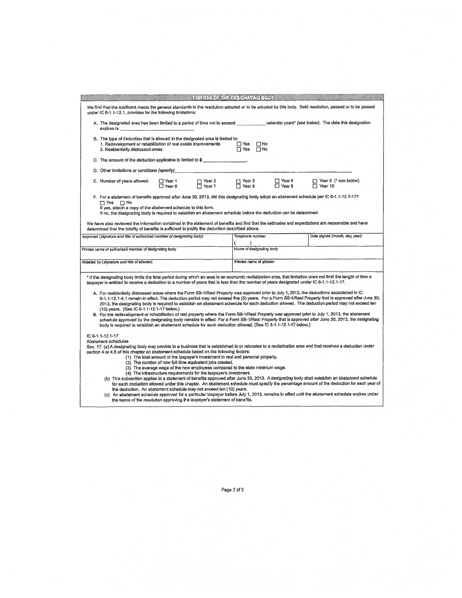|                                                       |                                                                                                                                                                                                                                                                                                                 |                      |                                                                                                                                | FOR USE OF THE DESIGNATING BODY.                                                                                                                                  |                               |                                                                                                                                                                                                                                                                                                                                                                                                                                                                                                                                                                                                                                                                                                                                                                                                                                                                                                                                                                                                                                                                          |  |
|-------------------------------------------------------|-----------------------------------------------------------------------------------------------------------------------------------------------------------------------------------------------------------------------------------------------------------------------------------------------------------------|----------------------|--------------------------------------------------------------------------------------------------------------------------------|-------------------------------------------------------------------------------------------------------------------------------------------------------------------|-------------------------------|--------------------------------------------------------------------------------------------------------------------------------------------------------------------------------------------------------------------------------------------------------------------------------------------------------------------------------------------------------------------------------------------------------------------------------------------------------------------------------------------------------------------------------------------------------------------------------------------------------------------------------------------------------------------------------------------------------------------------------------------------------------------------------------------------------------------------------------------------------------------------------------------------------------------------------------------------------------------------------------------------------------------------------------------------------------------------|--|
|                                                       | under IC 6-1.1-12.1, provides for the following limitations:                                                                                                                                                                                                                                                    |                      |                                                                                                                                |                                                                                                                                                                   |                               | We find that the applicant meets the general standards in the resolution adopted or to be adopted by this body. Sald resolution, passed or to be passed                                                                                                                                                                                                                                                                                                                                                                                                                                                                                                                                                                                                                                                                                                                                                                                                                                                                                                                  |  |
| expires is                                            | A. The designated area has been limited to a period of time not to exceed                                                                                                                                                                                                                                       |                      |                                                                                                                                |                                                                                                                                                                   |                               | calendar years" (see below). The date this designation                                                                                                                                                                                                                                                                                                                                                                                                                                                                                                                                                                                                                                                                                                                                                                                                                                                                                                                                                                                                                   |  |
|                                                       | B. The type of deduction that is allowed in the designated area is firnited to:<br>1. Redevelopment or rehabilitation of real estate improvements<br>2. Residentially distressed areas                                                                                                                          |                      |                                                                                                                                | $\Box$ Yes<br>$\square$ No<br>$\Box$ Yes<br>$\Box$ No                                                                                                             |                               |                                                                                                                                                                                                                                                                                                                                                                                                                                                                                                                                                                                                                                                                                                                                                                                                                                                                                                                                                                                                                                                                          |  |
|                                                       | C. The amount of the deduction applicable is limited to \$                                                                                                                                                                                                                                                      |                      |                                                                                                                                |                                                                                                                                                                   |                               |                                                                                                                                                                                                                                                                                                                                                                                                                                                                                                                                                                                                                                                                                                                                                                                                                                                                                                                                                                                                                                                                          |  |
|                                                       | D. Other limitations or conditions (specify)                                                                                                                                                                                                                                                                    |                      |                                                                                                                                |                                                                                                                                                                   |                               |                                                                                                                                                                                                                                                                                                                                                                                                                                                                                                                                                                                                                                                                                                                                                                                                                                                                                                                                                                                                                                                                          |  |
|                                                       | E. Number of years allowed:                                                                                                                                                                                                                                                                                     | □ Year 1<br>□ Year 6 | $\Box$ Year 2<br>$\Box$ Year 7                                                                                                 | $\Gamma$ Year 3<br>$\Box$ Year 8                                                                                                                                  | 厂 Year 4<br>Year <sub>9</sub> | T Year 5 (* see below)<br>Year 10                                                                                                                                                                                                                                                                                                                                                                                                                                                                                                                                                                                                                                                                                                                                                                                                                                                                                                                                                                                                                                        |  |
|                                                       | $\Box$ Yes $\Box$ No<br>If yes, attach a copy of the abatement schedule to this form.<br>If no, the designating body is required to establish an abatement schedule before the deduction can be determined.<br>determined that the totality of benefits is sufficient to justify the deduction described above. |                      |                                                                                                                                |                                                                                                                                                                   |                               | F. For a statement of benefits approved after June 30, 2013, did this designating body adopt an abatement schedule per IC 6-1.1-12.1-177<br>We have also reviewed the information contained in the statement of bonefits and find that the estimates and expectations are reasonable and have                                                                                                                                                                                                                                                                                                                                                                                                                                                                                                                                                                                                                                                                                                                                                                            |  |
|                                                       | Approved (signature and litie of authorized member of designating body)                                                                                                                                                                                                                                         |                      |                                                                                                                                | Telephone number                                                                                                                                                  |                               | Dala signed (month, dey, year)                                                                                                                                                                                                                                                                                                                                                                                                                                                                                                                                                                                                                                                                                                                                                                                                                                                                                                                                                                                                                                           |  |
|                                                       |                                                                                                                                                                                                                                                                                                                 |                      |                                                                                                                                | ١                                                                                                                                                                 |                               |                                                                                                                                                                                                                                                                                                                                                                                                                                                                                                                                                                                                                                                                                                                                                                                                                                                                                                                                                                                                                                                                          |  |
| Printed name of authorized member of designating body |                                                                                                                                                                                                                                                                                                                 |                      |                                                                                                                                | Name of designating body                                                                                                                                          |                               |                                                                                                                                                                                                                                                                                                                                                                                                                                                                                                                                                                                                                                                                                                                                                                                                                                                                                                                                                                                                                                                                          |  |
| Attosted by (signature and title of attester)         |                                                                                                                                                                                                                                                                                                                 |                      |                                                                                                                                |                                                                                                                                                                   | Printed name of attester      |                                                                                                                                                                                                                                                                                                                                                                                                                                                                                                                                                                                                                                                                                                                                                                                                                                                                                                                                                                                                                                                                          |  |
|                                                       | (10) years, (See IC 6-1.1-12.1-17 below.)<br>body is required to establish an abatement schedule for each deduction allowed. (See IC 6-1.1-12.1-17 below.)                                                                                                                                                      |                      |                                                                                                                                |                                                                                                                                                                   |                               | * If the designating body limits the time period during which an area is an economic revitalization area, that limitation does not limit the length of time a<br>taxpayer is entitied to receive a deduction to a number of years that is less than the number of years designated under IC 6-1.1-12.1-17.<br>A. For residentially distressed areas where the Form SB-1/Real Property was approved prior to July 1, 2013, the deductions established in IC<br>8-1.1-12.1-4.1 remain in effect. The deduction period may not exceed five (5) years. For a Form SB-1/Reel Property that is approved after June 30,<br>2013, the designating body is required to establish an abatement schedule for each deduction allowed. The deduction period may not exceed ten<br>B. For the redevelopment or rchabilitation of real property where the Form SB-1/Real Property was approved prior to July 1, 2013, the abatement<br>schedule approved by the designating body remains in effect. For a Form SB-1/Real Property that is approved after June 30, 2013, the designating |  |
| IC 6-1.1-12.1-17<br>Abatement schedules               | section 4 or 4.5 of this chapter an abatement schedule based on the following factors:<br>the deduction. An abatement schedule may not exceed ten (10) years.<br>the terms of the resolution approving the taxpayer's statement of benefits.                                                                    |                      | (2) The number of new full-time equivalent jobs created.<br>(4) The infrastructure requirements for the taxpayer's investment. | (1) The total amount of the taxpayer's investment in real and personal property.<br>(3) The average wage of the new employees compared to the state minimum wage. |                               | Sec. 17. (a) A designating body may provide to a business that is established in or relocated to a revitalization area and that receives a deduction under<br>(b) This subsection applies to a statement of benefits approved after June 30, 2013. A designating body shall establish an abatement schedule<br>for each deduction allowed under this chapter. An abatement schedule must specify the percentage amount of the deduction for each year of<br>(c) An abatement schedule approved for a particular taxpayer before July 1, 2013, remains in effect until the abatement schedule expires under                                                                                                                                                                                                                                                                                                                                                                                                                                                               |  |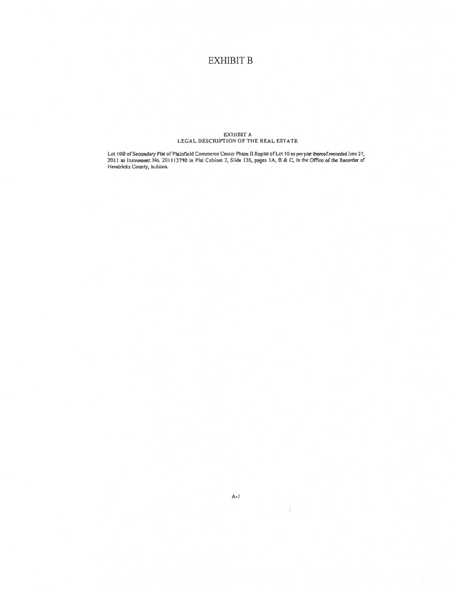## **EXHIBIT B**

# $\begin{array}{c} \text{EXHIBIT A} \\ \text{LEGAL DESCRIPTION OF THE REAL ESTATE} \end{array}$

Lot 10B of Secondary Plat of Plainfield Commerce Center Phase II Replat of Lot 10 as per plat thereof recorded inne 27, 2011 as Instrument No. 201113740 in Plat Cabinet 7, Slide 136, pages 1A, B & C, In the Office of the R